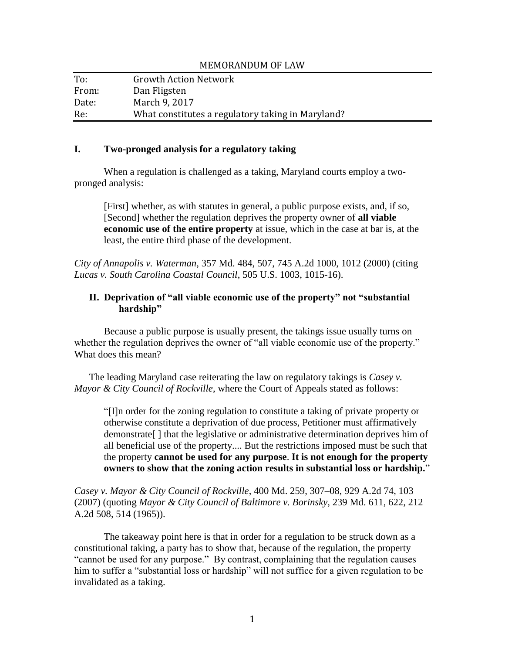| To:   | <b>Growth Action Network</b>                      |
|-------|---------------------------------------------------|
| From: | Dan Fligsten                                      |
| Date: | March 9, 2017                                     |
| Re:   | What constitutes a regulatory taking in Maryland? |

## **I. Two-pronged analysis for a regulatory taking**

When a regulation is challenged as a taking, Maryland courts employ a twopronged analysis:

MEMORANDUM OF LAW

[First] whether, as with statutes in general, a public purpose exists, and, if so, [Second] whether the regulation deprives the property owner of **all viable economic use of the entire property** at issue, which in the case at bar is, at the least, the entire third phase of the development.

*City of Annapolis v. Waterman*, 357 Md. 484, 507, 745 A.2d 1000, 1012 (2000) (citing *Lucas v. South Carolina Coastal Council*, 505 U.S. 1003, 1015-16).

## **II. Deprivation of "all viable economic use of the property" not "substantial hardship"**

Because a public purpose is usually present, the takings issue usually turns on whether the regulation deprives the owner of "all viable economic use of the property." What does this mean?

The leading Maryland case reiterating the law on regulatory takings is *Casey v. Mayor & City Council of Rockville*, where the Court of Appeals stated as follows:

"[I]n order for the zoning regulation to constitute a taking of private property or otherwise constitute a deprivation of due process, Petitioner must affirmatively demonstrate[ ] that the legislative or administrative determination deprives him of all beneficial use of the property.... But the restrictions imposed must be such that the property **cannot be used for any purpose**. **It is not enough for the property owners to show that the zoning action results in substantial loss or hardship.**"

*Casey v. Mayor & City Council of Rockville*, 400 Md. 259, 307–08, 929 A.2d 74, 103 (2007) (quoting *Mayor & City Council of Baltimore v. Borinsky*, 239 Md. 611, 622, 212 A.2d 508, 514 (1965)).

The takeaway point here is that in order for a regulation to be struck down as a constitutional taking, a party has to show that, because of the regulation, the property "cannot be used for any purpose." By contrast, complaining that the regulation causes him to suffer a "substantial loss or hardship" will not suffice for a given regulation to be invalidated as a taking.